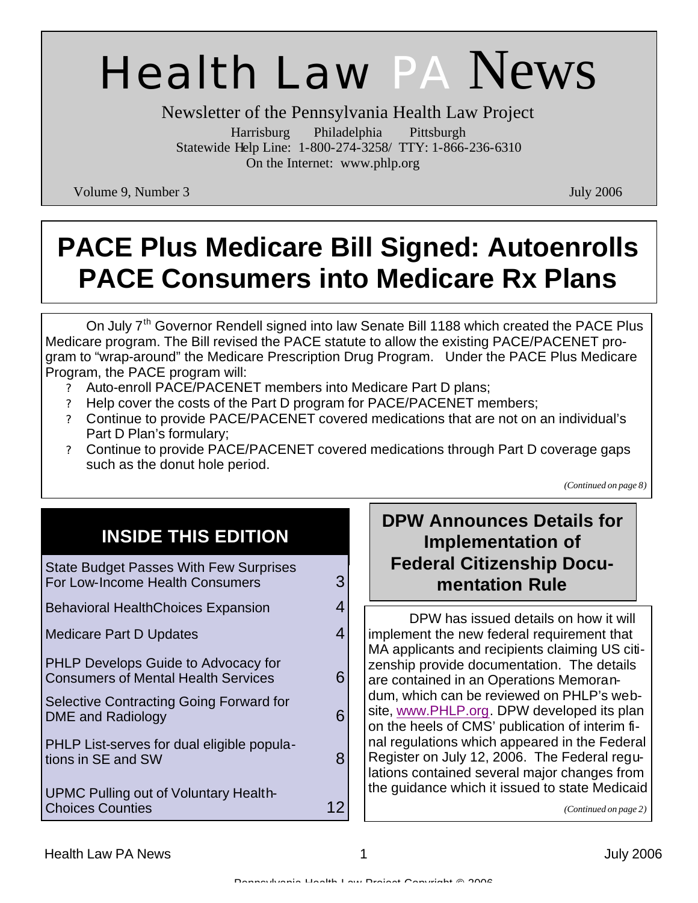# Health Law PA News

Newsletter of the Pennsylvania Health Law Project Harrisburg Philadelphia Pittsburgh Statewide Help Line: 1-800-274-3258/ TTY: 1-866-236-6310 On the Internet: www.phlp.org

Volume 9, Number 3 July 2006

# **PACE Plus Medicare Bill Signed: Autoenrolls PACE Consumers into Medicare Rx Plans**

On July 7<sup>th</sup> Governor Rendell signed into law Senate Bill 1188 which created the PACE Plus Medicare program. The Bill revised the PACE statute to allow the existing PACE/PACENET program to "wrap-around" the Medicare Prescription Drug Program. Under the PACE Plus Medicare Program, the PACE program will:

- ? Auto-enroll PACE/PACENET members into Medicare Part D plans;
- ? Help cover the costs of the Part D program for PACE/PACENET members;
- ? Continue to provide PACE/PACENET covered medications that are not on an individual's Part D Plan's formulary;
- ? Continue to provide PACE/PACENET covered medications through Part D coverage gaps such as the donut hole period.

*(Continued on page 8)*

# **INSIDE THIS EDITION**

| <b>State Budget Passes With Few Surprises</b><br>For Low-Income Health Consumers         | З |
|------------------------------------------------------------------------------------------|---|
| <b>Behavioral HealthChoices Expansion</b>                                                | 4 |
| Medicare Part D Updates                                                                  | 4 |
| <b>PHLP Develops Guide to Advocacy for</b><br><b>Consumers of Mental Health Services</b> | 6 |
| Selective Contracting Going Forward for<br>DME and Radiology                             | 6 |
| PHLP List-serves for dual eligible popula-<br>tions in SE and SW                         | 8 |
| <b>UPMC Pulling out of Voluntary Health-</b><br><b>Choices Counties</b>                  | 2 |

# **DPW Announces Details for Implementation of Federal Citizenship Documentation Rule**

 DPW has issued details on how it will implement the new federal requirement that MA applicants and recipients claiming US citizenship provide documentation. The details are contained in an Operations Memorandum, which can be reviewed on PHLP's website, www.PHLP.org. DPW developed its plan on the heels of CMS' publication of interim final regulations which appeared in the Federal Register on July 12, 2006. The Federal regulations contained several major changes from the guidance which it issued to state Medicaid

*(Continued on page 2)*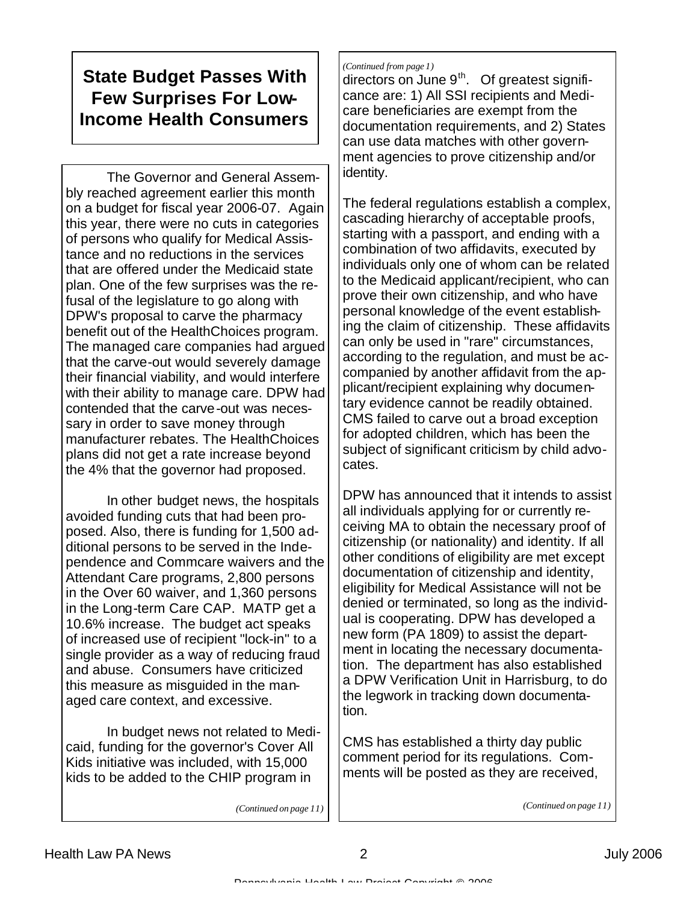# **State Budget Passes With Few Surprises For Low-Income Health Consumers**

 The Governor and General Assembly reached agreement earlier this month on a budget for fiscal year 2006-07. Again this year, there were no cuts in categories of persons who qualify for Medical Assistance and no reductions in the services that are offered under the Medicaid state plan. One of the few surprises was the refusal of the legislature to go along with DPW's proposal to carve the pharmacy benefit out of the HealthChoices program. The managed care companies had argued that the carve-out would severely damage their financial viability, and would interfere with their ability to manage care. DPW had contended that the carve-out was necessary in order to save money through manufacturer rebates. The HealthChoices plans did not get a rate increase beyond the 4% that the governor had proposed.

 In other budget news, the hospitals avoided funding cuts that had been proposed. Also, there is funding for 1,500 additional persons to be served in the Independence and Commcare waivers and the Attendant Care programs, 2,800 persons in the Over 60 waiver, and 1,360 persons in the Long-term Care CAP. MATP get a 10.6% increase. The budget act speaks of increased use of recipient "lock-in" to a single provider as a way of reducing fraud and abuse. Consumers have criticized this measure as misguided in the managed care context, and excessive.

 In budget news not related to Medicaid, funding for the governor's Cover All Kids initiative was included, with 15,000 kids to be added to the CHIP program in

#### *(Continued from page 1)*

directors on June  $9<sup>th</sup>$ . Of greatest significance are: 1) All SSI recipients and Medicare beneficiaries are exempt from the documentation requirements, and 2) States can use data matches with other government agencies to prove citizenship and/or identity.

The federal regulations establish a complex, cascading hierarchy of acceptable proofs, starting with a passport, and ending with a combination of two affidavits, executed by individuals only one of whom can be related to the Medicaid applicant/recipient, who can prove their own citizenship, and who have personal knowledge of the event establishing the claim of citizenship. These affidavits can only be used in "rare" circumstances, according to the regulation, and must be accompanied by another affidavit from the applicant/recipient explaining why documentary evidence cannot be readily obtained. CMS failed to carve out a broad exception for adopted children, which has been the subject of significant criticism by child advocates.

DPW has announced that it intends to assist all individuals applying for or currently receiving MA to obtain the necessary proof of citizenship (or nationality) and identity. If all other conditions of eligibility are met except documentation of citizenship and identity, eligibility for Medical Assistance will not be denied or terminated, so long as the individual is cooperating. DPW has developed a new form (PA 1809) to assist the department in locating the necessary documentation. The department has also established a DPW Verification Unit in Harrisburg, to do the legwork in tracking down documentation.

CMS has established a thirty day public comment period for its regulations. Comments will be posted as they are received,

*(Continued on page 11)*

*(Continued on page 11)*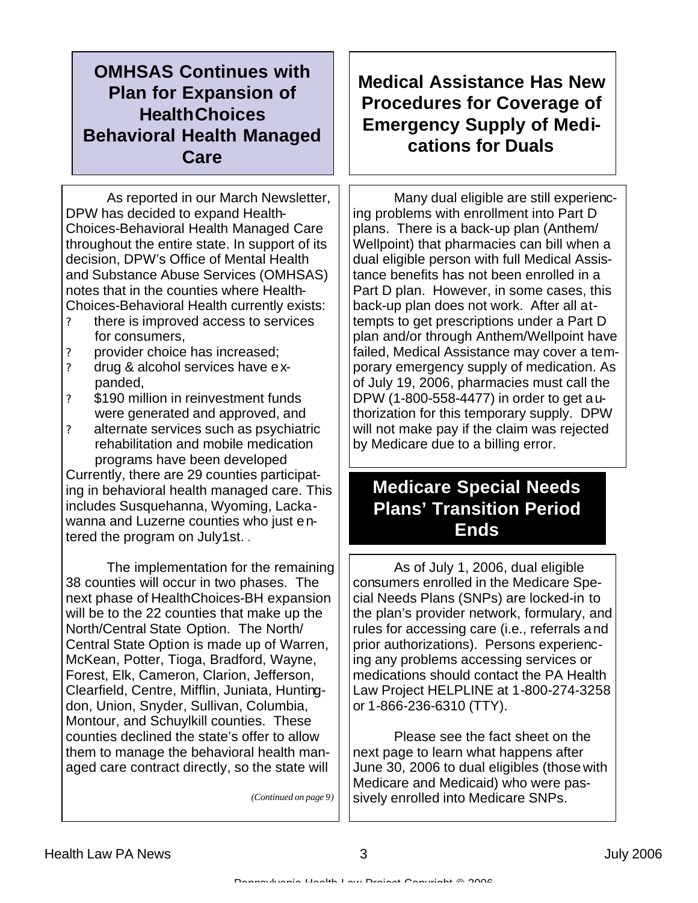# **OMHSAS Continues with Plan for Expansion of HealthChoices Behavioral Health Managed Care**

 As reported in our March Newsletter, DPW has decided to expand Health-Choices-Behavioral Health Managed Care throughout the entire state. In support of its decision, DPW's Office of Mental Health and Substance Abuse Services (OMHSAS) notes that in the counties where Health-Choices-Behavioral Health currently exists:

- ? there is improved access to services for consumers,
- ? provider choice has increased;
- ? drug & alcohol services have expanded,
- ? \$190 million in reinvestment funds were generated and approved, and
- ? alternate services such as psychiatric rehabilitation and mobile medication programs have been developed

Currently, there are 29 counties participating in behavioral health managed care. This includes Susquehanna, Wyoming, Lackawanna and Luzerne counties who just entered the program on July1st. .

 The implementation for the remaining 38 counties will occur in two phases. The next phase of HealthChoices-BH expansion will be to the 22 counties that make up the North/Central State Option. The North/ Central State Option is made up of Warren, McKean, Potter, Tioga, Bradford, Wayne, Forest, Elk, Cameron, Clarion, Jefferson, Clearfield, Centre, Mifflin, Juniata, Huntingdon, Union, Snyder, Sullivan, Columbia, Montour, and Schuylkill counties. These counties declined the state's offer to allow them to manage the behavioral health managed care contract directly, so the state will

*(Continued on page 9)*

# **Medical Assistance Has New Procedures for Coverage of Emergency Supply of Medications for Duals**

 Many dual eligible are still experiencing problems with enrollment into Part D plans. There is a back-up plan (Anthem/ Wellpoint) that pharmacies can bill when a dual eligible person with full Medical Assistance benefits has not been enrolled in a Part D plan. However, in some cases, this back-up plan does not work. After all attempts to get prescriptions under a Part D plan and/or through Anthem/Wellpoint have failed, Medical Assistance may cover a temporary emergency supply of medication. As of July 19, 2006, pharmacies must call the DPW (1-800-558-4477) in order to get authorization for this temporary supply. DPW will not make pay if the claim was rejected by Medicare due to a billing error.

# **Medicare Special Needs Plans' Transition Period Ends**

 As of July 1, 2006, dual eligible consumers enrolled in the Medicare Special Needs Plans (SNPs) are locked-in to the plan's provider network, formulary, and rules for accessing care (i.e., referrals and prior authorizations). Persons experiencing any problems accessing services or medications should contact the PA Health Law Project HELPLINE at 1-800-274-3258 or 1-866-236-6310 (TTY).

 Please see the fact sheet on the next page to learn what happens after June 30, 2006 to dual eligibles (those with Medicare and Medicaid) who were passively enrolled into Medicare SNPs.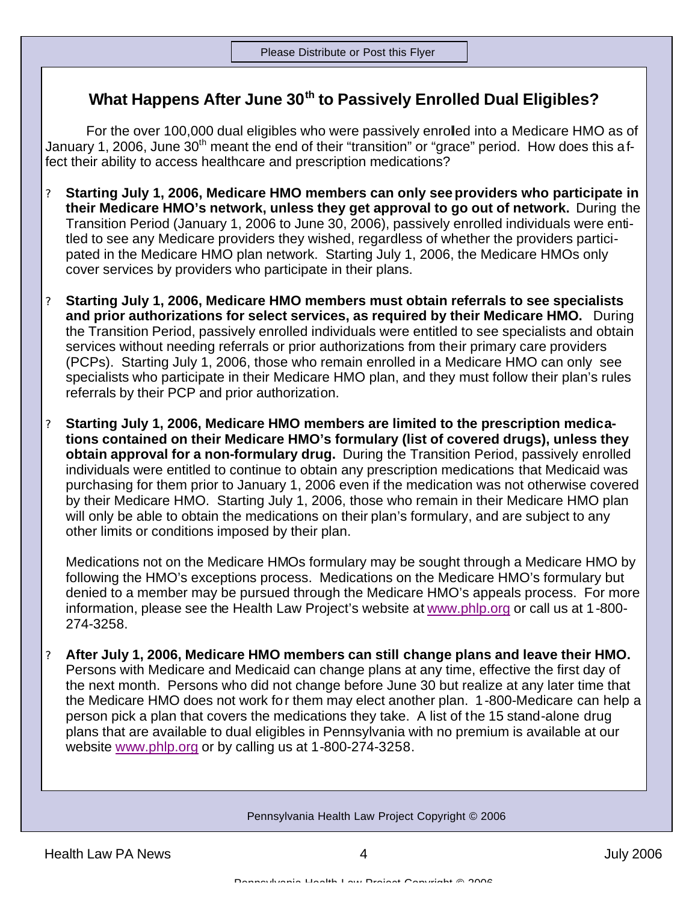### **What Happens After June 30th to Passively Enrolled Dual Eligibles?**

 For the over 100,000 dual eligibles who were passively enrolled into a Medicare HMO as of January 1, 2006, June 30<sup>th</sup> meant the end of their "transition" or "grace" period. How does this a ffect their ability to access healthcare and prescription medications?

- ? **Starting July 1, 2006, Medicare HMO members can only see providers who participate in their Medicare HMO's network, unless they get approval to go out of network.** During the Transition Period (January 1, 2006 to June 30, 2006), passively enrolled individuals were entitled to see any Medicare providers they wished, regardless of whether the providers participated in the Medicare HMO plan network. Starting July 1, 2006, the Medicare HMOs only cover services by providers who participate in their plans.
- ? **Starting July 1, 2006, Medicare HMO members must obtain referrals to see specialists and prior authorizations for select services, as required by their Medicare HMO.** During the Transition Period, passively enrolled individuals were entitled to see specialists and obtain services without needing referrals or prior authorizations from their primary care providers (PCPs). Starting July 1, 2006, those who remain enrolled in a Medicare HMO can only see specialists who participate in their Medicare HMO plan, and they must follow their plan's rules referrals by their PCP and prior authorization.
- ? **Starting July 1, 2006, Medicare HMO members are limited to the prescription medications contained on their Medicare HMO's formulary (list of covered drugs), unless they obtain approval for a non-formulary drug.** During the Transition Period, passively enrolled individuals were entitled to continue to obtain any prescription medications that Medicaid was purchasing for them prior to January 1, 2006 even if the medication was not otherwise covered by their Medicare HMO. Starting July 1, 2006, those who remain in their Medicare HMO plan will only be able to obtain the medications on their plan's formulary, and are subject to any other limits or conditions imposed by their plan.

Medications not on the Medicare HMOs formulary may be sought through a Medicare HMO by following the HMO's exceptions process. Medications on the Medicare HMO's formulary but denied to a member may be pursued through the Medicare HMO's appeals process. For more information, please see the Health Law Project's website at www.phlp.org or call us at 1-800- 274-3258.

? **After July 1, 2006, Medicare HMO members can still change plans and leave their HMO.**  Persons with Medicare and Medicaid can change plans at any time, effective the first day of the next month. Persons who did not change before June 30 but realize at any later time that the Medicare HMO does not work for them may elect another plan. 1-800-Medicare can help a person pick a plan that covers the medications they take. A list of the 15 stand-alone drug plans that are available to dual eligibles in Pennsylvania with no premium is available at our website www.phlp.org or by calling us at 1-800-274-3258.

#### Pennsylvania Health Law Project Copyright © 2006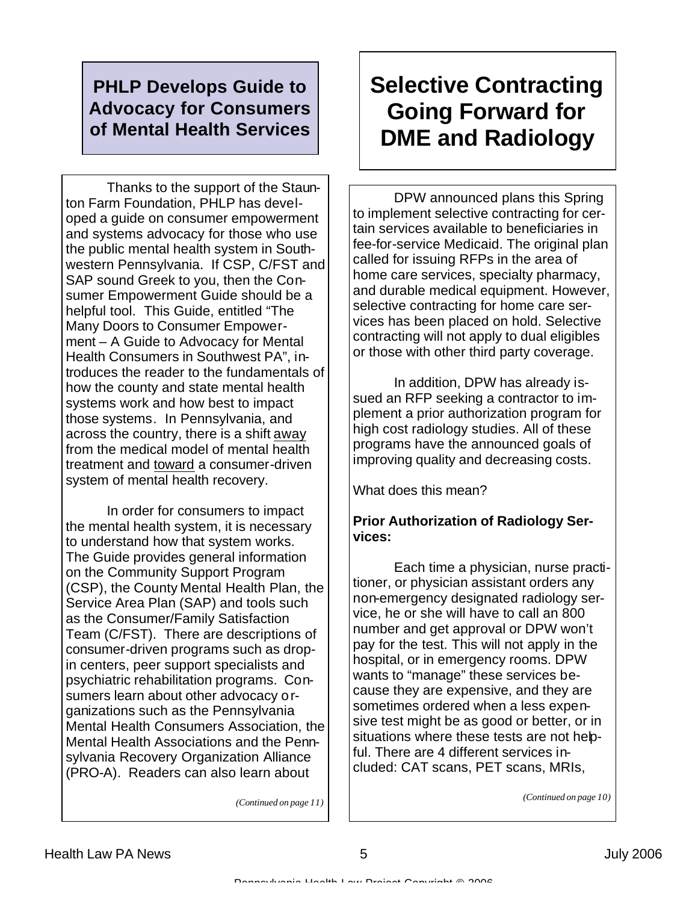## **PHLP Develops Guide to Advocacy for Consumers of Mental Health Services**

 Thanks to the support of the Staunton Farm Foundation, PHLP has developed a guide on consumer empowerment and systems advocacy for those who use the public mental health system in Southwestern Pennsylvania. If CSP, C/FST and SAP sound Greek to you, then the Consumer Empowerment Guide should be a helpful tool. This Guide, entitled "The Many Doors to Consumer Empowerment – A Guide to Advocacy for Mental Health Consumers in Southwest PA", introduces the reader to the fundamentals of how the county and state mental health systems work and how best to impact those systems. In Pennsylvania, and across the country, there is a shift away from the medical model of mental health treatment and toward a consumer-driven system of mental health recovery.

 In order for consumers to impact the mental health system, it is necessary to understand how that system works. The Guide provides general information on the Community Support Program (CSP), the County Mental Health Plan, the Service Area Plan (SAP) and tools such as the Consumer/Family Satisfaction Team (C/FST). There are descriptions of consumer-driven programs such as dropin centers, peer support specialists and psychiatric rehabilitation programs. Consumers learn about other advocacy organizations such as the Pennsylvania Mental Health Consumers Association, the Mental Health Associations and the Pennsylvania Recovery Organization Alliance (PRO-A). Readers can also learn about

# **Selective Contracting Going Forward for DME and Radiology**

 DPW announced plans this Spring to implement selective contracting for certain services available to beneficiaries in fee-for-service Medicaid. The original plan called for issuing RFPs in the area of home care services, specialty pharmacy, and durable medical equipment. However, selective contracting for home care services has been placed on hold. Selective contracting will not apply to dual eligibles or those with other third party coverage.

 In addition, DPW has already issued an RFP seeking a contractor to implement a prior authorization program for high cost radiology studies. All of these programs have the announced goals of improving quality and decreasing costs.

What does this mean?

#### **Prior Authorization of Radiology Services:**

 Each time a physician, nurse practitioner, or physician assistant orders any non-emergency designated radiology service, he or she will have to call an 800 number and get approval or DPW won't pay for the test. This will not apply in the hospital, or in emergency rooms. DPW wants to "manage" these services because they are expensive, and they are sometimes ordered when a less expensive test might be as good or better, or in situations where these tests are not helpful. There are 4 different services included: CAT scans, PET scans, MRIs,

*(Continued on page 10)*

*(Continued on page 11)*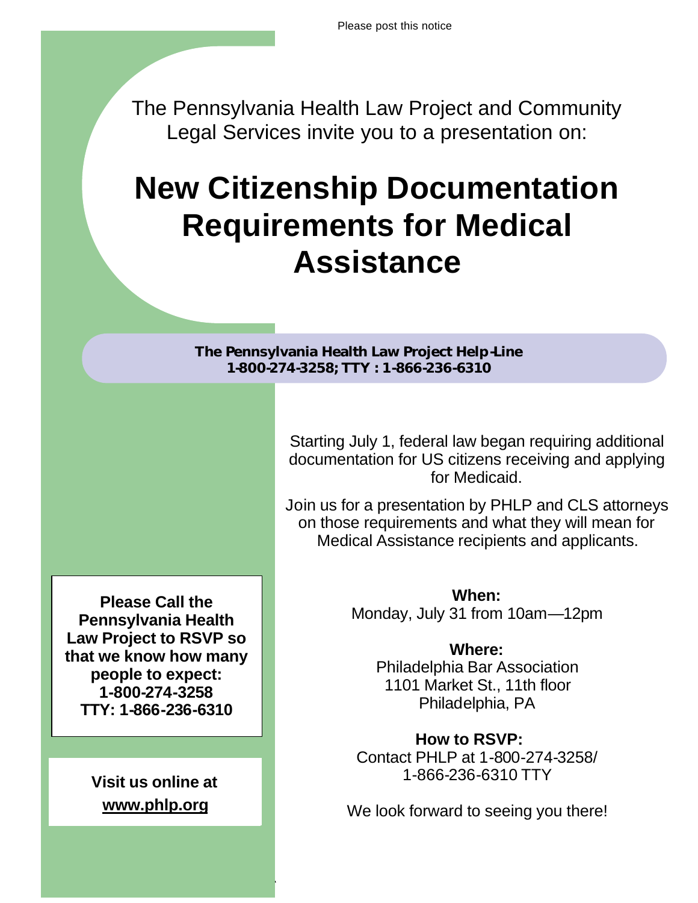The Pennsylvania Health Law Project and Community Legal Services invite you to a presentation on:

# **New Citizenship Documentation Requirements for Medical Assistance**

**The Pennsylvania Health Law Project Help-Line 1-800-274-3258; TTY : 1-866-236-6310**

Health Law Party 2006, the United States of the United States of the United States of the United States of the

Pennsylvania Health Law Project Copyright © 2006

Starting July 1, federal law began requiring additional documentation for US citizens receiving and applying for Medicaid.

Join us for a presentation by PHLP and CLS attorneys on those requirements and what they will mean for Medical Assistance recipients and applicants.

> **When:** Monday, July 31 from 10am—12pm

> > **Where:** Philadelphia Bar Association 1101 Market St., 11th floor Philadelphia, PA

**How to RSVP:** Contact PHLP at 1-800-274-3258/ 1-866-236-6310 TTY

We look forward to seeing you there!

**Please Call the Pennsylvania Health Law Project to RSVP so that we know how many people to expect: 1-800-274-3258 TTY: 1-866-236-6310**

> **Visit us online at www.phlp.org**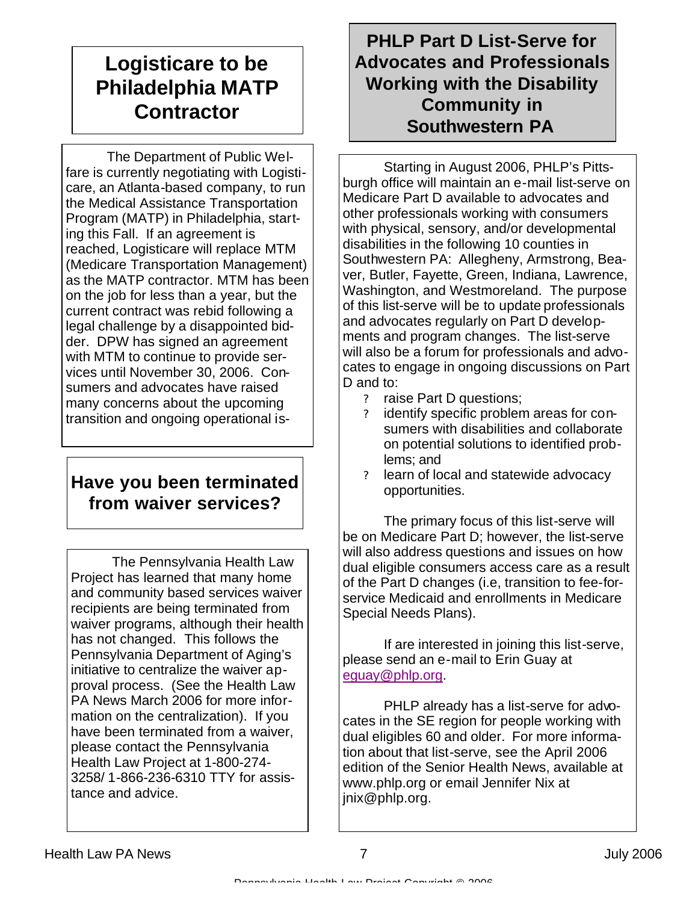# **Logisticare to be Philadelphia MATP Contractor**

 The Department of Public Welfare is currently negotiating with Logisticare, an Atlanta-based company, to run the Medical Assistance Transportation Program (MATP) in Philadelphia, starting this Fall. If an agreement is reached, Logisticare will replace MTM (Medicare Transportation Management) as the MATP contractor. MTM has been on the job for less than a year, but the current contract was rebid following a legal challenge by a disappointed bidder. DPW has signed an agreement with MTM to continue to provide services until November 30, 2006. Consumers and advocates have raised many concerns about the upcoming transition and ongoing operational is-

# **Have you been terminated from waiver services?**

 The Pennsylvania Health Law Project has learned that many home and community based services waiver recipients are being terminated from waiver programs, although their health has not changed. This follows the Pennsylvania Department of Aging's initiative to centralize the waiver approval process. (See the Health Law PA News March 2006 for more information on the centralization). If you have been terminated from a waiver, please contact the Pennsylvania Health Law Project at 1-800-274- 3258/ 1-866-236-6310 TTY for assistance and advice.

# **PHLP Part D List-Serve for Advocates and Professionals Working with the Disability Community in Southwestern PA**

 Starting in August 2006, PHLP's Pittsburgh office will maintain an e-mail list-serve on Medicare Part D available to advocates and other professionals working with consumers with physical, sensory, and/or developmental disabilities in the following 10 counties in Southwestern PA: Allegheny, Armstrong, Beaver, Butler, Fayette, Green, Indiana, Lawrence, Washington, and Westmoreland. The purpose of this list-serve will be to update professionals and advocates regularly on Part D developments and program changes. The list-serve will also be a forum for professionals and advocates to engage in ongoing discussions on Part D and to:

- ? raise Part D questions;
- ? identify specific problem areas for consumers with disabilities and collaborate on potential solutions to identified problems; and
- ? learn of local and statewide advocacy opportunities.

 The primary focus of this list-serve will be on Medicare Part D; however, the list-serve will also address questions and issues on how dual eligible consumers access care as a result of the Part D changes (i.e, transition to fee-forservice Medicaid and enrollments in Medicare Special Needs Plans).

 If are interested in joining this list-serve, please send an e-mail to Erin Guay at eguay@phlp.org.

 PHLP already has a list-serve for advocates in the SE region for people working with dual eligibles 60 and older. For more information about that list-serve, see the April 2006 edition of the Senior Health News, available at www.phlp.org or email Jennifer Nix at jnix@phlp.org.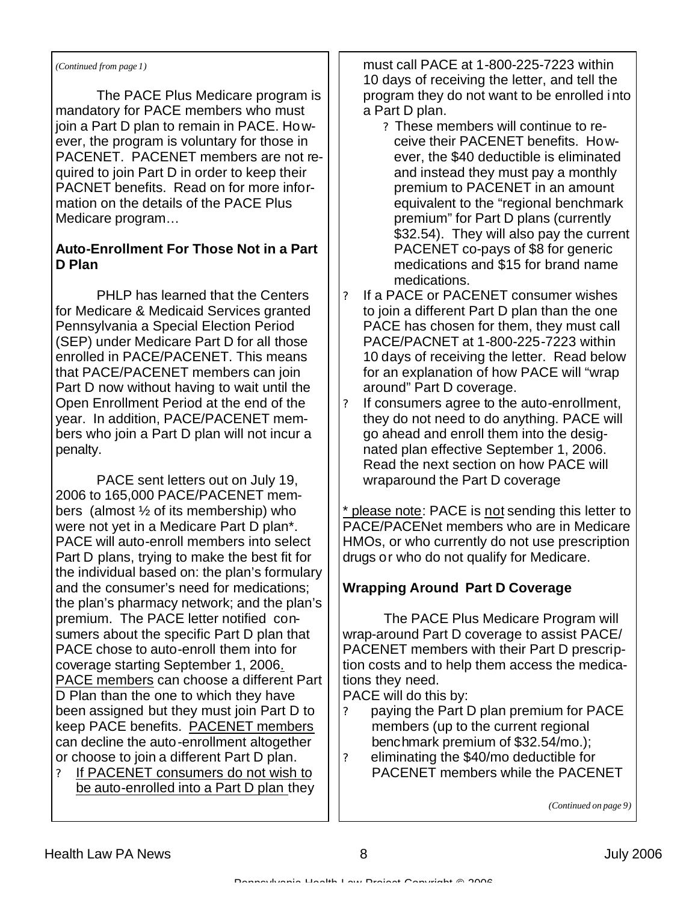#### *(Continued from page 1)*

 The PACE Plus Medicare program is mandatory for PACE members who must join a Part D plan to remain in PACE. However, the program is voluntary for those in PACENET. PACENET members are not required to join Part D in order to keep their PACNET benefits. Read on for more information on the details of the PACE Plus Medicare program…

#### **Auto-Enrollment For Those Not in a Part D Plan**

 PHLP has learned that the Centers for Medicare & Medicaid Services granted Pennsylvania a Special Election Period (SEP) under Medicare Part D for all those enrolled in PACE/PACENET. This means that PACE/PACENET members can join Part D now without having to wait until the Open Enrollment Period at the end of the year. In addition, PACE/PACENET members who join a Part D plan will not incur a penalty.

 PACE sent letters out on July 19, 2006 to 165,000 PACE/PACENET members (almost ½ of its membership) who were not yet in a Medicare Part D plan\*. PACE will auto-enroll members into select Part D plans, trying to make the best fit for the individual based on: the plan's formulary and the consumer's need for medications; the plan's pharmacy network; and the plan's premium. The PACE letter notified consumers about the specific Part D plan that PACE chose to auto-enroll them into for coverage starting September 1, 2006. PACE members can choose a different Part D Plan than the one to which they have been assigned but they must join Part D to keep PACE benefits. PACENET members can decline the auto-enrollment altogether or choose to join a different Part D plan.

? If PACENET consumers do not wish to be auto-enrolled into a Part D plan they must call PACE at 1-800-225-7223 within 10 days of receiving the letter, and tell the program they do not want to be enrolled into a Part D plan.

- ? These members will continue to receive their PACENET benefits. However, the \$40 deductible is eliminated and instead they must pay a monthly premium to PACENET in an amount equivalent to the "regional benchmark premium" for Part D plans (currently \$32.54). They will also pay the current PACENET co-pays of \$8 for generic medications and \$15 for brand name medications.
- ? If a PACE or PACENET consumer wishes to join a different Part D plan than the one PACE has chosen for them, they must call PACE/PACNET at 1-800-225-7223 within 10 days of receiving the letter. Read below for an explanation of how PACE will "wrap around" Part D coverage.
- ? If consumers agree to the auto-enrollment, they do not need to do anything. PACE will go ahead and enroll them into the designated plan effective September 1, 2006. Read the next section on how PACE will wraparound the Part D coverage

\* please note: PACE is not sending this letter to PACE/PACENet members who are in Medicare HMOs, or who currently do not use prescription drugs or who do not qualify for Medicare.

#### **Wrapping Around Part D Coverage**

 The PACE Plus Medicare Program will wrap-around Part D coverage to assist PACE/ PACENET members with their Part D prescription costs and to help them access the medications they need.

PACE will do this by:

- paying the Part D plan premium for PACE members (up to the current regional benchmark premium of \$32.54/mo.);
- ? eliminating the \$40/mo deductible for PACENET members while the PACENET

*(Continued on page 9)*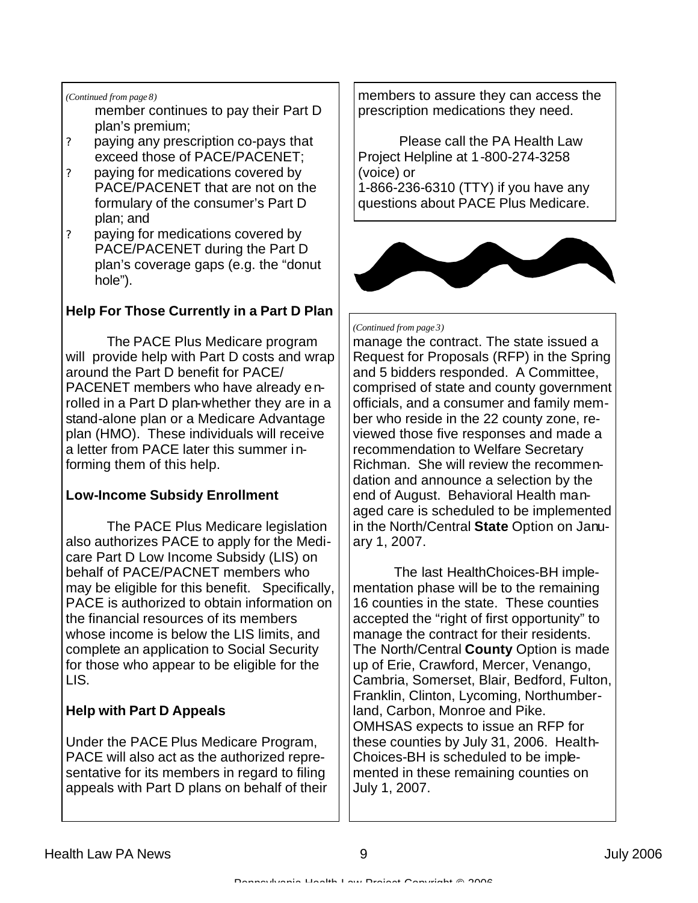#### *(Continued from page 8)*

- member continues to pay their Part D plan's premium;
- ? paying any prescription co-pays that exceed those of PACE/PACENET;
- ? paying for medications covered by PACE/PACENET that are not on the formulary of the consumer's Part D plan; and
- ? paying for medications covered by PACE/PACENET during the Part D plan's coverage gaps (e.g. the "donut hole").

#### **Help For Those Currently in a Part D Plan**

 The PACE Plus Medicare program will provide help with Part D costs and wrap around the Part D benefit for PACE/ PACENET members who have already enrolled in a Part D plan-whether they are in a stand-alone plan or a Medicare Advantage plan (HMO). These individuals will receive a letter from PACE later this summer informing them of this help.

#### **Low-Income Subsidy Enrollment**

 The PACE Plus Medicare legislation also authorizes PACE to apply for the Medicare Part D Low Income Subsidy (LIS) on behalf of PACE/PACNET members who may be eligible for this benefit. Specifically, PACE is authorized to obtain information on the financial resources of its members whose income is below the LIS limits, and complete an application to Social Security for those who appear to be eligible for the LIS.

#### **Help with Part D Appeals**

Under the PACE Plus Medicare Program, PACE will also act as the authorized representative for its members in regard to filing appeals with Part D plans on behalf of their members to assure they can access the prescription medications they need.

 Please call the PA Health Law Project Helpline at 1-800-274-3258 (voice) or 1-866-236-6310 (TTY) if you have any questions about PACE Plus Medicare.



#### *(Continued from page 3)*

manage the contract. The state issued a Request for Proposals (RFP) in the Spring and 5 bidders responded. A Committee, comprised of state and county government officials, and a consumer and family member who reside in the 22 county zone, reviewed those five responses and made a recommendation to Welfare Secretary Richman. She will review the recommendation and announce a selection by the end of August. Behavioral Health managed care is scheduled to be implemented in the North/Central **State** Option on January 1, 2007.

 The last HealthChoices-BH implementation phase will be to the remaining 16 counties in the state. These counties accepted the "right of first opportunity" to manage the contract for their residents. The North/Central **County** Option is made up of Erie, Crawford, Mercer, Venango, Cambria, Somerset, Blair, Bedford, Fulton, Franklin, Clinton, Lycoming, Northumberland, Carbon, Monroe and Pike. OMHSAS expects to issue an RFP for these counties by July 31, 2006. Health-Choices-BH is scheduled to be implemented in these remaining counties on July 1, 2007.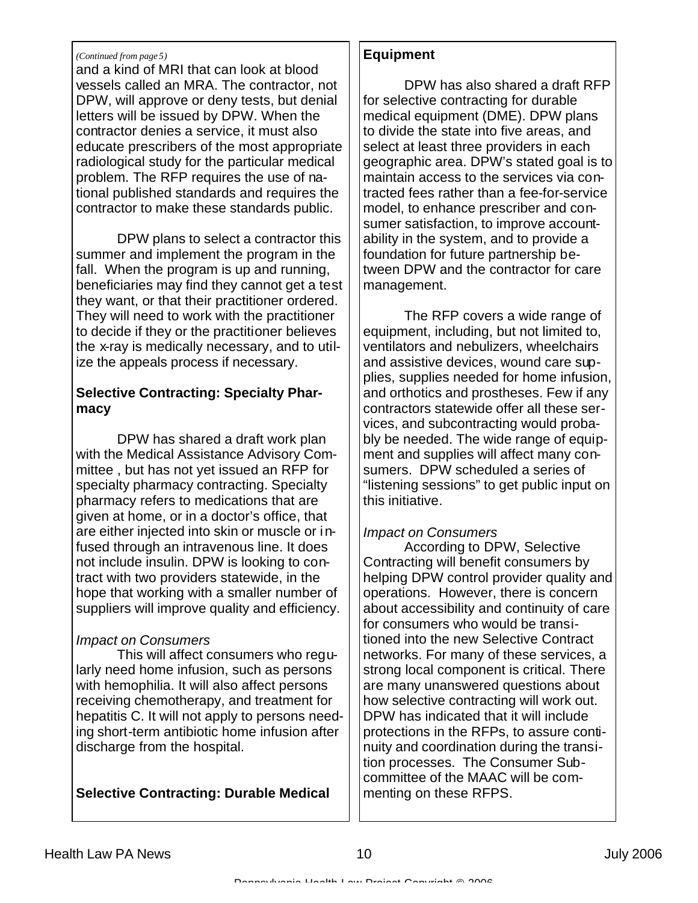#### *(Continued from page 5)*

and a kind of MRI that can look at blood vessels called an MRA. The contractor, not DPW, will approve or deny tests, but denial letters will be issued by DPW. When the contractor denies a service, it must also educate prescribers of the most appropriate radiological study for the particular medical problem. The RFP requires the use of national published standards and requires the contractor to make these standards public.

 DPW plans to select a contractor this summer and implement the program in the fall. When the program is up and running, beneficiaries may find they cannot get a test they want, or that their practitioner ordered. They will need to work with the practitioner to decide if they or the practitioner believes the x-ray is medically necessary, and to utilize the appeals process if necessary.

#### **Selective Contracting: Specialty Pharmacy**

 DPW has shared a draft work plan with the Medical Assistance Advisory Committee , but has not yet issued an RFP for specialty pharmacy contracting. Specialty pharmacy refers to medications that are given at home, or in a doctor's office, that are either injected into skin or muscle or infused through an intravenous line. It does not include insulin. DPW is looking to contract with two providers statewide, in the hope that working with a smaller number of suppliers will improve quality and efficiency.

#### *Impact on Consumers*

 This will affect consumers who regularly need home infusion, such as persons with hemophilia. It will also affect persons receiving chemotherapy, and treatment for hepatitis C. It will not apply to persons needing short-term antibiotic home infusion after discharge from the hospital.

#### **Selective Contracting: Durable Medical**

#### **Equipment**

 DPW has also shared a draft RFP for selective contracting for durable medical equipment (DME). DPW plans to divide the state into five areas, and select at least three providers in each geographic area. DPW's stated goal is to maintain access to the services via contracted fees rather than a fee-for-service model, to enhance prescriber and consumer satisfaction, to improve accountability in the system, and to provide a foundation for future partnership between DPW and the contractor for care management.

 The RFP covers a wide range of equipment, including, but not limited to, ventilators and nebulizers, wheelchairs and assistive devices, wound care supplies, supplies needed for home infusion, and orthotics and prostheses. Few if any contractors statewide offer all these services, and subcontracting would probably be needed. The wide range of equipment and supplies will affect many consumers. DPW scheduled a series of "listening sessions" to get public input on this initiative.

#### *Impact on Consumers*

According to DPW, Selective Contracting will benefit consumers by helping DPW control provider quality and operations. However, there is concern about accessibility and continuity of care for consumers who would be transitioned into the new Selective Contract networks. For many of these services, a strong local component is critical. There are many unanswered questions about how selective contracting will work out. DPW has indicated that it will include protections in the RFPs, to assure continuity and coordination during the transition processes. The Consumer Subcommittee of the MAAC will be commenting on these RFPS.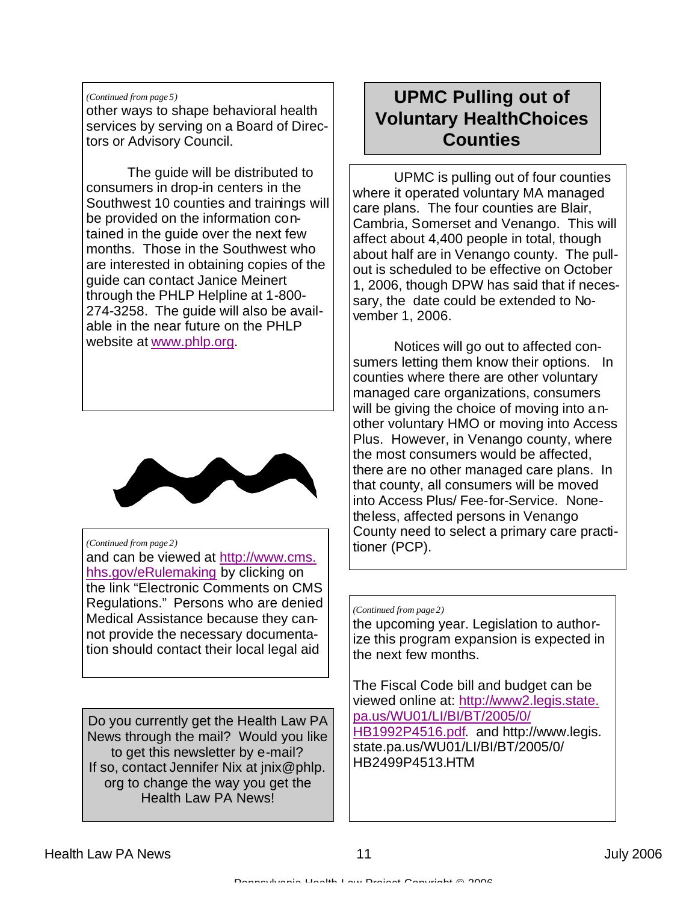#### *(Continued from page 5)*

other ways to shape behavioral health services by serving on a Board of Directors or Advisory Council.

 The guide will be distributed to consumers in drop-in centers in the Southwest 10 counties and trainings will be provided on the information contained in the guide over the next few months. Those in the Southwest who are interested in obtaining copies of the guide can contact Janice Meinert through the PHLP Helpline at 1-800- 274-3258. The guide will also be available in the near future on the PHLP website at www.phlp.org.



#### *(Continued from page 2)*

and can be viewed at http://www.cms. hhs.gov/eRulemaking by clicking on the link "Electronic Comments on CMS Regulations." Persons who are denied Medical Assistance because they cannot provide the necessary documentation should contact their local legal aid

Do you currently get the Health Law PA News through the mail? Would you like to get this newsletter by e-mail? If so, contact Jennifer Nix at jnix@phlp. org to change the way you get the Health Law PA News!

# **UPMC Pulling out of Voluntary HealthChoices Counties**

 UPMC is pulling out of four counties where it operated voluntary MA managed care plans. The four counties are Blair, Cambria, Somerset and Venango. This will affect about 4,400 people in total, though about half are in Venango county. The pullout is scheduled to be effective on October 1, 2006, though DPW has said that if necessary, the date could be extended to November 1, 2006.

 Notices will go out to affected consumers letting them know their options. In counties where there are other voluntary managed care organizations, consumers will be giving the choice of moving into another voluntary HMO or moving into Access Plus. However, in Venango county, where the most consumers would be affected, there are no other managed care plans. In that county, all consumers will be moved into Access Plus/ Fee-for-Service. Nonetheless, affected persons in Venango County need to select a primary care practitioner (PCP).

#### *(Continued from page 2)*

the upcoming year. Legislation to authorize this program expansion is expected in the next few months.

The Fiscal Code bill and budget can be viewed online at: http://www2.legis.state. pa.us/WU01/LI/BI/BT/2005/0/ HB1992P4516.pdf. and http://www.legis. state.pa.us/WU01/LI/BI/BT/2005/0/ HB2499P4513.HTM